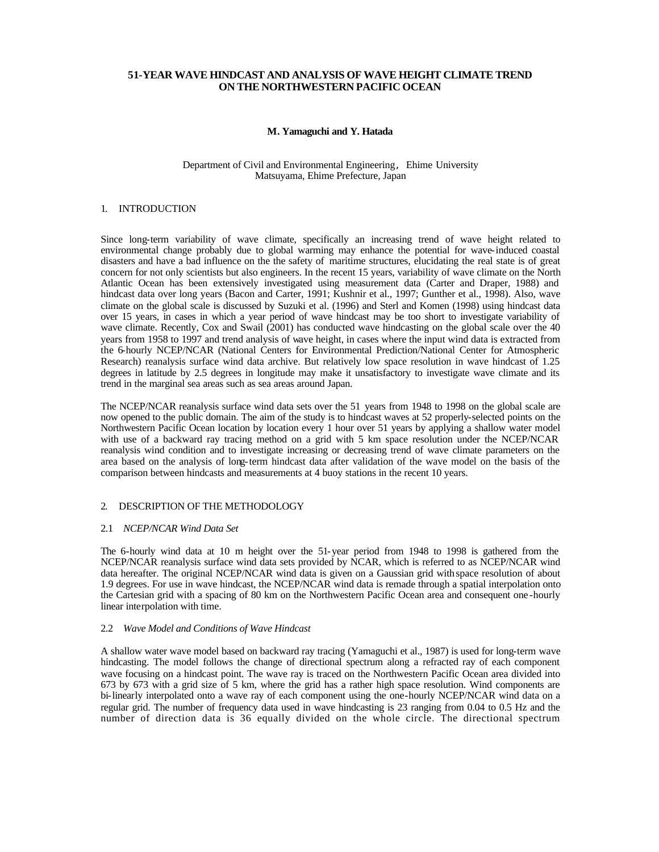# **51-YEAR WAVE HINDCAST AND ANALYSIS OF WAVE HEIGHT CLIMATE TREND ON THE NORTHWESTERN PACIFIC OCEAN**

## **M. Yamaguchi and Y. Hatada**

#### Department of Civil and Environmental Engineering, Ehime University Matsuyama, Ehime Prefecture, Japan

# 1. INTRODUCTION

Since long-term variability of wave climate, specifically an increasing trend of wave height related to environmental change probably due to global warming may enhance the potential for wave-induced coastal disasters and have a bad influence on the the safety of maritime structures, elucidating the real state is of great concern for not only scientists but also engineers. In the recent 15 years, variability of wave climate on the North Atlantic Ocean has been extensively investigated using measurement data (Carter and Draper, 1988) and hindcast data over long years (Bacon and Carter, 1991; Kushnir et al., 1997; Gunther et al., 1998). Also, wave climate on the global scale is discussed by Suzuki et al. (1996) and Sterl and Komen (1998) using hindcast data over 15 years, in cases in which a year period of wave hindcast may be too short to investigate variability of wave climate. Recently, Cox and Swail (2001) has conducted wave hindcasting on the global scale over the 40 years from 1958 to 1997 and trend analysis of wave height, in cases where the input wind data is extracted from the 6-hourly NCEP/NCAR (National Centers for Environmental Prediction/National Center for Atmospheric Research) reanalysis surface wind data archive. But relatively low space resolution in wave hindcast of 1.25 degrees in latitude by 2.5 degrees in longitude may make it unsatisfactory to investigate wave climate and its trend in the marginal sea areas such as sea areas around Japan.

The NCEP/NCAR reanalysis surface wind data sets over the 51 years from 1948 to 1998 on the global scale are now opened to the public domain. The aim of the study is to hindcast waves at 52 properly-selected points on the Northwestern Pacific Ocean location by location every 1 hour over 51 years by applying a shallow water model with use of a backward ray tracing method on a grid with 5 km space resolution under the NCEP/NCAR reanalysis wind condition and to investigate increasing or decreasing trend of wave climate parameters on the area based on the analysis of long-term hindcast data after validation of the wave model on the basis of the comparison between hindcasts and measurements at 4 buoy stations in the recent 10 years.

## 2. DESCRIPTION OF THE METHODOLOGY

### 2.1 *NCEP/NCAR Wind Data Set*

The 6-hourly wind data at 10 m height over the 51-year period from 1948 to 1998 is gathered from the NCEP/NCAR reanalysis surface wind data sets provided by NCAR, which is referred to as NCEP/NCAR wind data hereafter. The original NCEP/NCAR wind data is given on a Gaussian grid with space resolution of about 1.9 degrees. For use in wave hindcast, the NCEP/NCAR wind data is remade through a spatial interpolation onto the Cartesian grid with a spacing of 80 km on the Northwestern Pacific Ocean area and consequent one -hourly linear interpolation with time.

#### 2.2 *Wave Model and Conditions of Wave Hindcast*

A shallow water wave model based on backward ray tracing (Yamaguchi et al., 1987) is used for long-term wave hindcasting. The model follows the change of directional spectrum along a refracted ray of each component wave focusing on a hindcast point. The wave ray is traced on the Northwestern Pacific Ocean area divided into 673 by 673 with a grid size of 5 km, where the grid has a rather high space resolution. Wind components are bi-linearly interpolated onto a wave ray of each component using the one-hourly NCEP/NCAR wind data on a regular grid. The number of frequency data used in wave hindcasting is 23 ranging from 0.04 to 0.5 Hz and the number of direction data is 36 equally divided on the whole circle. The directional spectrum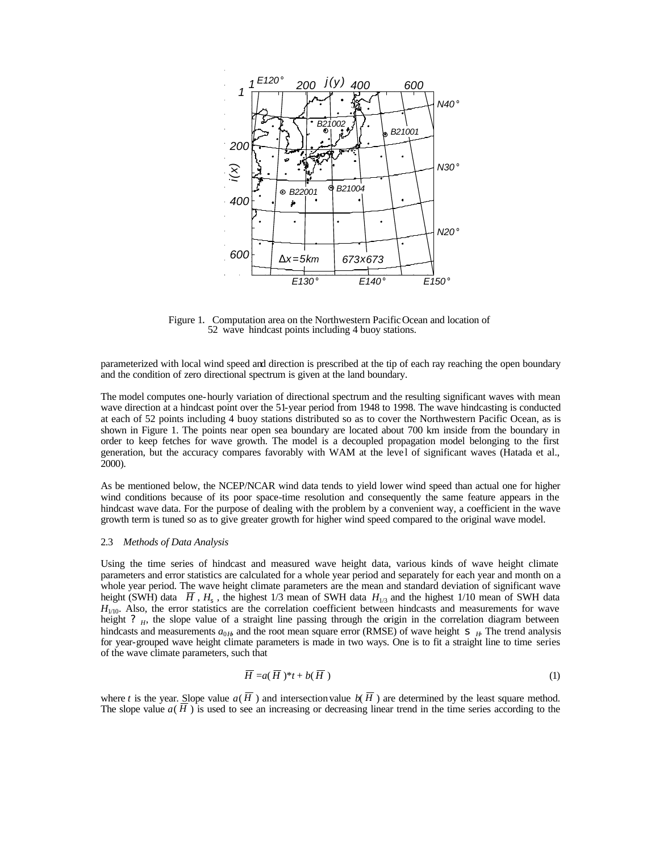

Figure 1. Computation area on the Northwestern Pacific Ocean and location of 52 wave hindcast points including 4 buoy stations.

parameterized with local wind speed and direction is prescribed at the tip of each ray reaching the open boundary and the condition of zero directional spectrum is given at the land boundary.

The model computes one-hourly variation of directional spectrum and the resulting significant waves with mean wave direction at a hindcast point over the 51-year period from 1948 to 1998. The wave hindcasting is conducted at each of 52 points including 4 buoy stations distributed so as to cover the Northwestern Pacific Ocean, as is shown in Figure 1. The points near open sea boundary are located about 700 km inside from the boundary in order to keep fetches for wave growth. The model is a decoupled propagation model belonging to the first generation, but the accuracy compares favorably with WAM at the level of significant waves (Hatada et al., 2000).

As be mentioned below, the NCEP/NCAR wind data tends to yield lower wind speed than actual one for higher wind conditions because of its poor space-time resolution and consequently the same feature appears in the hindcast wave data. For the purpose of dealing with the problem by a convenient way, a coefficient in the wave growth term is tuned so as to give greater growth for higher wind speed compared to the original wave model.

#### 2.3 *Methods of Data Analysis*

Using the time series of hindcast and measured wave height data, various kinds of wave height climate parameters and error statistics are calculated for a whole year period and separately for each year and month on a whole year period. The wave height climate parameters are the mean and standard deviation of significant wave height (SWH) data  $\overline{H}$ ,  $H_s$ , the highest 1/3 mean of SWH data  $H_{1/3}$  and the highest 1/10 mean of SWH data  $H_{1/10}$ . Also, the error statistics are the correlation coefficient between hindcasts and measurements for wave height ? <sub>H</sub>, the slope value of a straight line passing through the origin in the correlation diagram between hindcasts and measurements  $a_{0H}$ , and the root mean square error (RMSE) of wave height  $S$ <sub>H</sub>. The trend analysis for year-grouped wave height climate parameters is made in two ways. One is to fit a straight line to time series of the wave climate parameters, such that

$$
\overline{H} = a(\overline{H})^*t + b(\overline{H})
$$
\n(1)

where *t* is the year. Slope value  $a(\overline{H})$  and intersection value  $b(\overline{H})$  are determined by the least square method. The slope value  $a(H)$  is used to see an increasing or decreasing linear trend in the time series according to the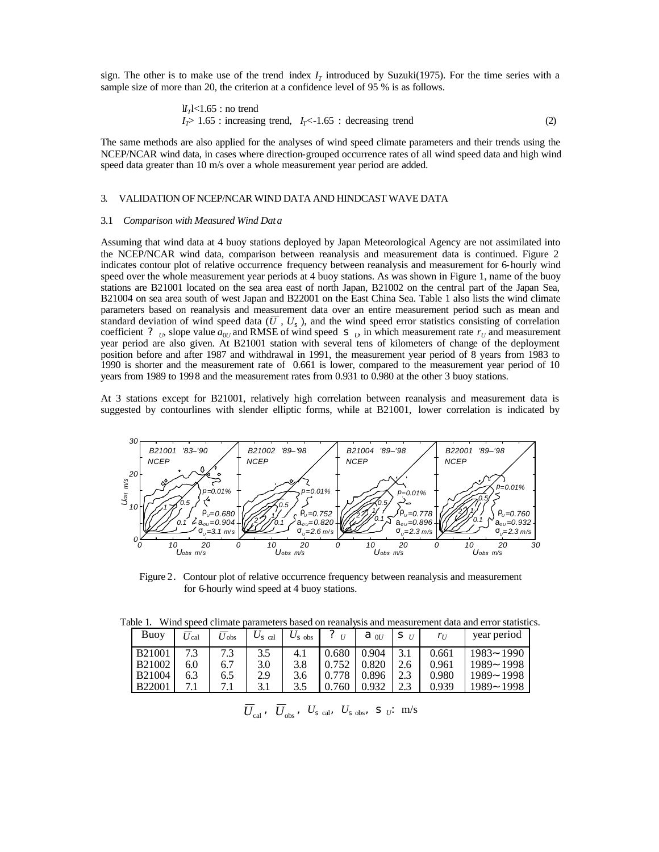sign. The other is to make use of the trend index  $I<sub>T</sub>$  introduced by Suzuki(1975). For the time series with a sample size of more than 20, the criterion at a confidence level of 95 % is as follows.

$$
U_T
$$
  $l_1$   $l_2$   $l_3$   $l_4$   $l_5$   $l_5$   $l_6$   $l_7$   $l_8$   $l_7$   $l_8$   $l_7$   $l_8$   $l_7$   $l_8$   $l_9$   $l_9$   $l_9$   $l_9$   $l_9$   $l_9$   $l_9$   $l_9$   $l_9$   $l_9$   $l_9$   $l_9$   $l_9$   $l_9$   $l_9$   $l_9$   $l_9$   $l_9$   $l_9$   $l_9$   $l_9$   $l_9$   $l_9$   $l_9$   $l_9$   $l_9$   $l_9$   $l_9$   $l_9$   $l_9$   $l_9$   $l_9$   $l_9$   $l_9$   $l_9$   $l_9$   $l_9$   $l_9$   $l_9$   $l_9$   $l_9$   $l_9$   $l_9$   $l_9$   $l_9$   $l_9$   $l_9$   $l_9$   $l_9$   $l_9$   $l_9$   $l_9$   $l_9$   $l_9$   $l_9$   $l_9$   $l_9$   $l_9$   $l_9$   $l_9$   $l_9$   $l_9$   $l_9$   $l_9$   $l_9$   $l_9$   $l_9$   $l_9$   $l_9$ 

The same methods are also applied for the analyses of wind speed climate parameters and their trends using the NCEP/NCAR wind data, in cases where direction-grouped occurrence rates of all wind speed data and high wind speed data greater than 10 m/s over a whole measurement year period are added.

## 3. VALIDATION OF NCEP/NCAR WIND DATA AND HINDCAST WAVE DATA

#### 3.1 *Comparison with Measured Wind Data*

Assuming that wind data at 4 buoy stations deployed by Japan Meteorological Agency are not assimilated into the NCEP/NCAR wind data, comparison between reanalysis and measurement data is continued. Figure 2 indicates contour plot of relative occurrence frequency between reanalysis and measurement for 6-hourly wind speed over the whole measurement year periods at 4 buoy stations. As was shown in Figure 1, name of the buoy stations are B21001 located on the sea area east of north Japan, B21002 on the central part of the Japan Sea, B21004 on sea area south of west Japan and B22001 on the East China Sea. Table 1 also lists the wind climate parameters based on reanalysis and measurement data over an entire measurement period such as mean and standard deviation of wind speed data  $(\overline{U}, U_s)$ , and the wind speed error statistics consisting of correlation coefficient ?  $_U$ , slope value  $a_{0U}$  and RMSE of wind speed  $S_U$  in which measurement rate  $r_U$  and measurement year period are also given. At B21001 station with several tens of kilometers of change of the deployment position before and after 1987 and withdrawal in 1991, the measurement year period of 8 years from 1983 to 1990 is shorter and the measurement rate of 0.661 is lower, compared to the measurement year period of 10 years from 1989 to 1998 and the measurement rates from 0.931 to 0.980 at the other 3 buoy stations.

At 3 stations except for B21001, relatively high correlation between reanalysis and measurement data is suggested by contourlines with slender elliptic forms, while at B21001, lower correlation is indicated by



Figure 2. Contour plot of relative occurrence frequency between reanalysis and measurement for 6-hourly wind speed at 4 buoy stations.

Table 1. Wind speed climate parameters based on reanalysis and measurement data and error statistics.

| Buoy          | / cal | $U_{\rm obs}$ | $U_{\rm s}$ cal | $U_{\rm s}$ obs | U    | a<br>0U | s        | $r_U$ | year period     |
|---------------|-------|---------------|-----------------|-----------------|------|---------|----------|-------|-----------------|
| <b>B21001</b> | 72    | 7.3           | 3.5             | 4.1             | .680 | 0.904   | $\sim$ 1 | 0.661 | $1983-$<br>1990 |
| <b>B21002</b> | 6.0   | 6.7           | 3.0             | 3.8             |      | 0.820   |          | 0.961 | 1989~1998       |
| <b>B21004</b> | 6.3   | 6.5           | 2.9             | 3.6             |      | 0.896   | C C<br>ر | 0.980 | 1989~ 1998      |
| <b>B22001</b> |       |               | 3. l            | 3.5             | 760  |         | ر…       | 0.939 | 1989~<br>1998   |

 $\overline{U}_{\text{cal}}$ ,  $\overline{U}_{\text{obs}}$ ,  $U_{\text{s cal}}$ ,  $U_{\text{s obs}}$ , **s**  $_U$ : m/s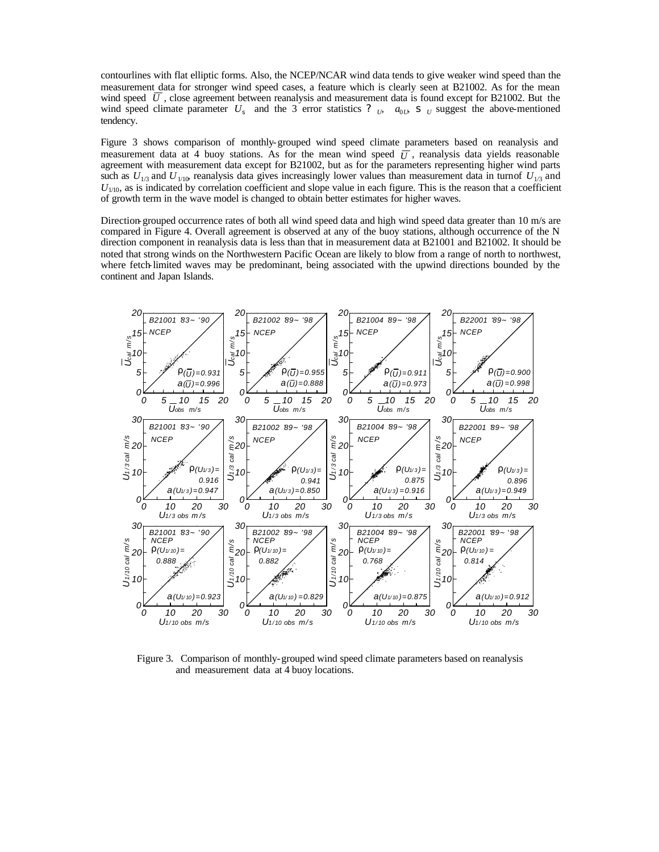contourlines with flat elliptic forms. Also, the NCEP/NCAR wind data tends to give weaker wind speed than the measurement data for stronger wind speed cases, a feature which is clearly seen at B21002. As for the mean wind speed  $\bar{U}$ , close agreement between reanalysis and measurement data is found except for B21002. But the wind speed climate parameter  $U_s$  and the 3 error statistics ?  $U_t$ ,  $a_{0L}$ , s  $U_s$  suggest the above-mentioned tendency.

Figure 3 shows comparison of monthly-grouped wind speed climate parameters based on reanalysis and measurement data at 4 buoy stations. As for the mean wind speed  $\overline{U}$ , reanalysis data yields reasonable agreement with measurement data except for B21002, but as for the parameters representing higher wind parts such as  $U_{1/3}$  and  $U_{1/10}$  reanalysis data gives increasingly lower values than measurement data in turn of  $U_{1/3}$  and *U*<sub>1/10</sub>, as is indicated by correlation coefficient and slope value in each figure. This is the reason that a coefficient of growth term in the wave model is changed to obtain better estimates for higher waves.

Direction-grouped occurrence rates of both all wind speed data and high wind speed data greater than 10 m/s are compared in Figure 4. Overall agreement is observed at any of the buoy stations, although occurrence of the N direction component in reanalysis data is less than that in measurement data at B21001 and B21002. It should be noted that strong winds on the Northwestern Pacific Ocean are likely to blow from a range of north to northwest, where fetch-limited waves may be predominant, being associated with the upwind directions bounded by the continent and Japan Islands.



Figure 3. Comparison of monthly-grouped wind speed climate parameters based on reanalysis and measurement data at 4 buoy locations.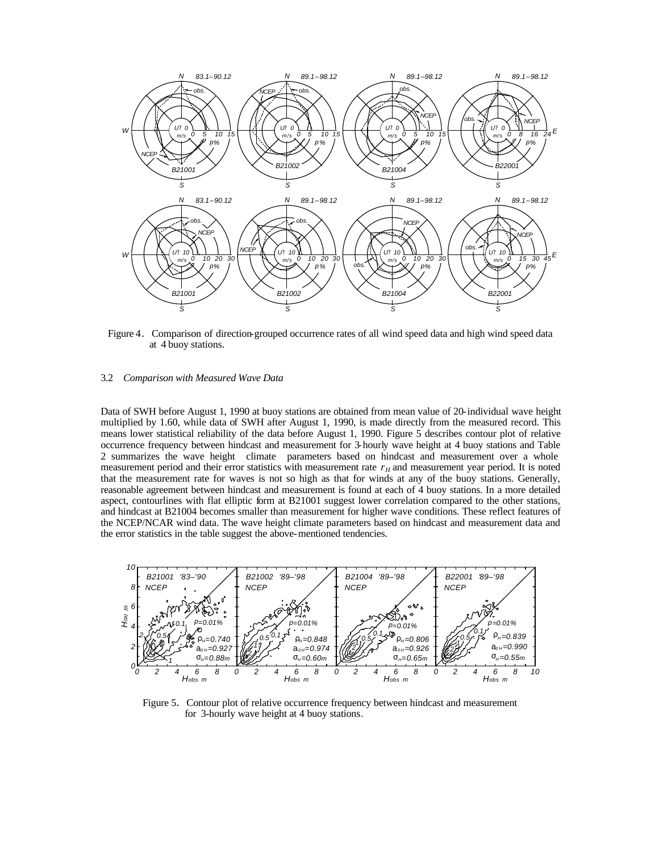

Figure 4. Comparison of direction-grouped occurrence rates of all wind speed data and high wind speed data at 4 buoy stations.

## 3.2 *Comparison with Measured Wave Data*

Data of SWH before August 1, 1990 at buoy stations are obtained from mean value of 20-individual wave height multiplied by 1.60, while data of SWH after August 1, 1990, is made directly from the measured record. This means lower statistical reliability of the data before August 1, 1990. Figure 5 describes contour plot of relative occurrence frequency between hindcast and measurement for 3-hourly wave height at 4 buoy stations and Table 2 summarizes the wave height climate parameters based on hindcast and measurement over a whole measurement period and their error statistics with measurement rate  $r_H$  and measurement year period. It is noted that the measurement rate for waves is not so high as that for winds at any of the buoy stations. Generally, reasonable agreement between hindcast and measurement is found at each of 4 buoy stations. In a more detailed aspect, contourlines with flat elliptic form at B21001 suggest lower correlation compared to the other stations, and hindcast at B21004 becomes smaller than measurement for higher wave conditions. These reflect features of the NCEP/NCAR wind data. The wave height climate parameters based on hindcast and measurement data and the error statistics in the table suggest the above-mentioned tendencies.



Figure 5. Contour plot of relative occurrence frequency between hindcast and measurement for 3-hourly wave height at 4 buoy stations.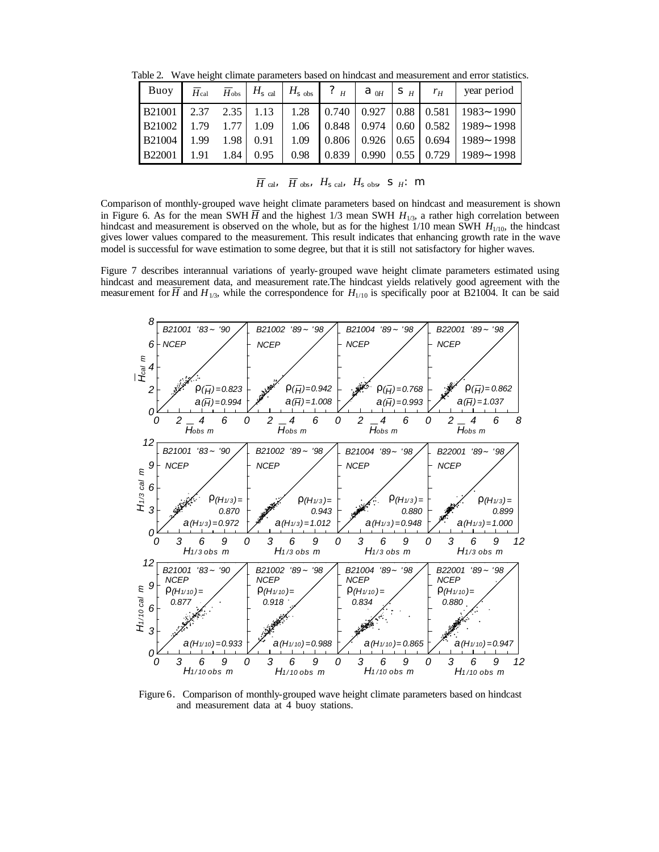Table 2. Wave height climate parameters based on hindcast and measurement and error statistics.

|  |  |  |  | Buoy   $\overline{H}_{cal}$ $\overline{H}_{obs}$   $H_{s}$ $_{cal}$   $H_{s}$ $_{obs}$   $\overline{?}$ $_H$   $a$ $_{0H}$   $s$ $_{H}$   $r_H$   year period |
|--|--|--|--|---------------------------------------------------------------------------------------------------------------------------------------------------------------|
|  |  |  |  | $\vert$ B21001   2.37 2.35   1.13   1.28   0.740   0.927   0.88   0.581   1983~ 1990                                                                          |
|  |  |  |  | $\vert$ B21002   1.79   1.77   1.09   1.06 $\vert$ 0.848   0.974 $\vert$ 0.60   0.582   1989~ 1998                                                            |
|  |  |  |  | $\mid$ B21004   1.99 1.98   0.91   1.09   0.806   0.926   0.65   0.694   1989~ 1998                                                                           |
|  |  |  |  | B22001   1.91   1.84   0.95   0.98   0.839   0.990   0.55   0.729   1989~ 1998                                                                                |

 $\overline{H}$  cal,  $\overline{H}$  obs,  $H$ <sub>s cal</sub>,  $H$ <sub>s obs</sub>, **S**  $_H$ : **m** 

Comparison of monthly-grouped wave height climate parameters based on hindcast and measurement is shown in Figure 6. As for the mean SWH  $\overline{H}$  and the highest 1/3 mean SWH  $H_{1/3}$ , a rather high correlation between hindcast and measurement is observed on the whole, but as for the highest 1/10 mean SWH  $H<sub>1/10</sub>$ , the hindcast gives lower values compared to the measurement. This result indicates that enhancing growth rate in the wave model is successful for wave estimation to some degree, but that it is still not satisfactory for higher waves.

Figure 7 describes interannual variations of yearly-grouped wave height climate parameters estimated using hindcast and measurement data, and measurement rate.The hindcast yields relatively good agreement with the measurement for  $\overline{H}$  and  $H_{1/3}$ , while the correspondence for  $H_{1/10}$  is specifically poor at B21004. It can be said



Figure 6. Comparison of monthly-grouped wave height climate parameters based on hindcast and measurement data at 4 buoy stations.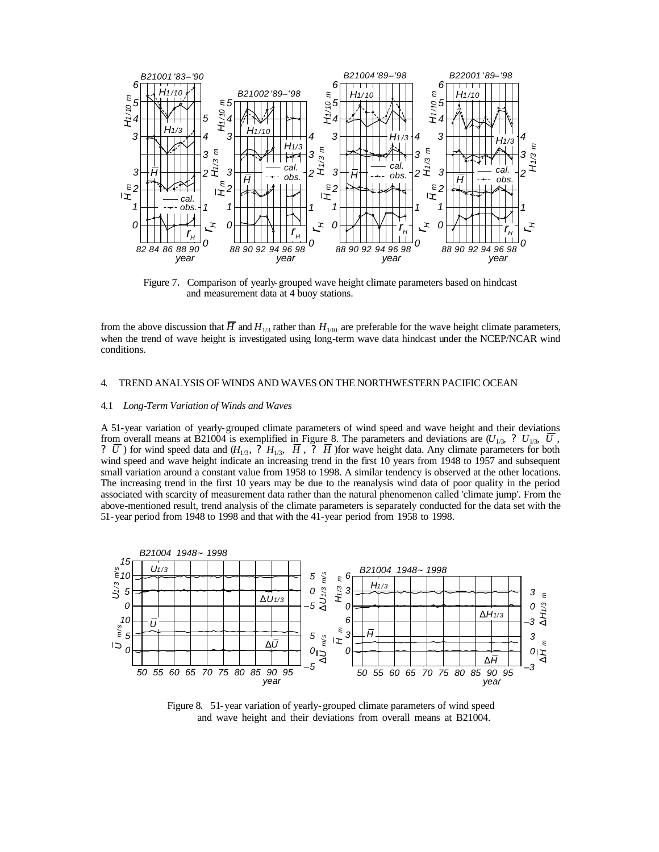

Figure 7. Comparison of yearly-grouped wave height climate parameters based on hindcast and measurement data at 4 buoy stations.

from the above discussion that  $\overline{H}$  and  $H_{1/3}$  rather than  $H_{1/10}$  are preferable for the wave height climate parameters, when the trend of wave height is investigated using long-term wave data hindcast under the NCEP/NCAR wind conditions.

## 4. TREND ANALYSIS OF WINDS AND WAVES ON THE NORTHWESTERN PACIFIC OCEAN

#### 4.1 *Long-Term Variation of Winds and Waves*

A 51-year variation of yearly-grouped climate parameters of wind speed and wave height and their deviations from overall means at B21004 is exemplified in Figure 8. The parameters and deviations are  $(U_{1/3}, ? U_{1/3}, \bar{U}, \bar{U})$ ?  $\overline{U}$ ) for wind speed data and  $(H_{1/3}, ? H_{1/3}, \overline{H}, ? \overline{H})$  for wave height data. Any climate parameters for both wind speed and wave height indicate an increasing trend in the first 10 years from 1948 to 1957 and subsequent small variation around a constant value from 1958 to 1998. A similar tendency is observed at the other locations. The increasing trend in the first 10 years may be due to the reanalysis wind data of poor quality in the period associated with scarcity of measurement data rather than the natural phenomenon called 'climate jump'. From the above-mentioned result, trend analysis of the climate parameters is separately conducted for the data set with the 51-year period from 1948 to 1998 and that with the 41-year period from 1958 to 1998.



Figure 8. 51-year variation of yearly-grouped climate parameters of wind speed and wave height and their deviations from overall means at B21004.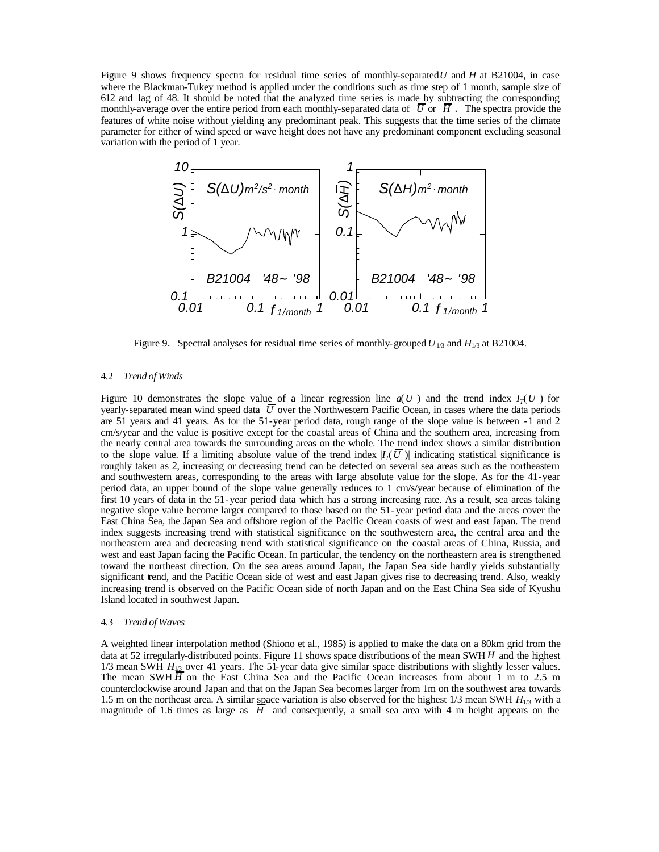Figure 9 shows frequency spectra for residual time series of monthly-separated  $\overline{U}$  and  $\overline{H}$  at B21004, in case where the Blackman-Tukey method is applied under the conditions such as time step of 1 month, sample size of 612 and lag of 48. It should be noted that the analyzed time series is made by subtracting the corresponding monthly-average over the entire period from each monthly-separated data of  $\overline{U}$  or  $\overline{H}$ . The spectra provide the features of white noise without yielding any predominant peak. This suggests that the time series of the climate parameter for either of wind speed or wave height does not have any predominant component excluding seasonal variation with the period of 1 year.



Figure 9. Spectral analyses for residual time series of monthly-grouped  $U_{1/3}$  and  $H_{1/3}$  at B21004.

#### 4.2 *Trend of Winds*

Figure 10 demonstrates the slope value of a linear regression line  $a(\overline{U})$  and the trend index  $I_T(\overline{U})$  for yearly-separated mean wind speed data  $\bar{U}$  over the Northwestern Pacific Ocean, in cases where the data periods are 51 years and 41 years. As for the 51-year period data, rough range of the slope value is between -1 and 2 cm/s/year and the value is positive except for the coastal areas of China and the southern area, increasing from the nearly central area towards the surrounding areas on the whole. The trend index shows a similar distribution to the slope value. If a limiting absolute value of the trend index  $|I_7(\overline{U})|$  indicating statistical significance is roughly taken as 2, increasing or decreasing trend can be detected on several sea areas such as the northeastern and southwestern areas, corresponding to the areas with large absolute value for the slope. As for the 41-year period data, an upper bound of the slope value generally reduces to 1 cm/s/year because of elimination of the first 10 years of data in the 51-year period data which has a strong increasing rate. As a result, sea areas taking negative slope value become larger compared to those based on the 51-year period data and the areas cover the East China Sea, the Japan Sea and offshore region of the Pacific Ocean coasts of west and east Japan. The trend index suggests increasing trend with statistical significance on the southwestern area, the central area and the northeastern area and decreasing trend with statistical significance on the coastal areas of China, Russia, and west and east Japan facing the Pacific Ocean. In particular, the tendency on the northeastern area is strengthened toward the northeast direction. On the sea areas around Japan, the Japan Sea side hardly yields substantially significant trend, and the Pacific Ocean side of west and east Japan gives rise to decreasing trend. Also, weakly increasing trend is observed on the Pacific Ocean side of north Japan and on the East China Sea side of Kyushu Island located in southwest Japan.

### 4.3 *Trend of Waves*

A weighted linear interpolation method (Shiono et al., 1985) is applied to make the data on a 80km grid from the data at 52 irregularly-distributed points. Figure 11 shows space distributions of the mean SWH  $\overline{H}$  and the highest 1/3 mean SWH  $H_{1/3}$  over 41 years. The 51-year data give similar space distributions with slightly lesser values. The mean SWH  $\overline{H}$  on the East China Sea and the Pacific Ocean increases from about 1 m to 2.5 m counterclockwise around Japan and that on the Japan Sea becomes larger from 1m on the southwest area towards 1.5 m on the northeast area. A similar space variation is also observed for the highest 1/3 mean SWH *H*1/3 with a magnitude of 1.6 times as large as *H* and consequently, a small sea area with 4 m height appears on the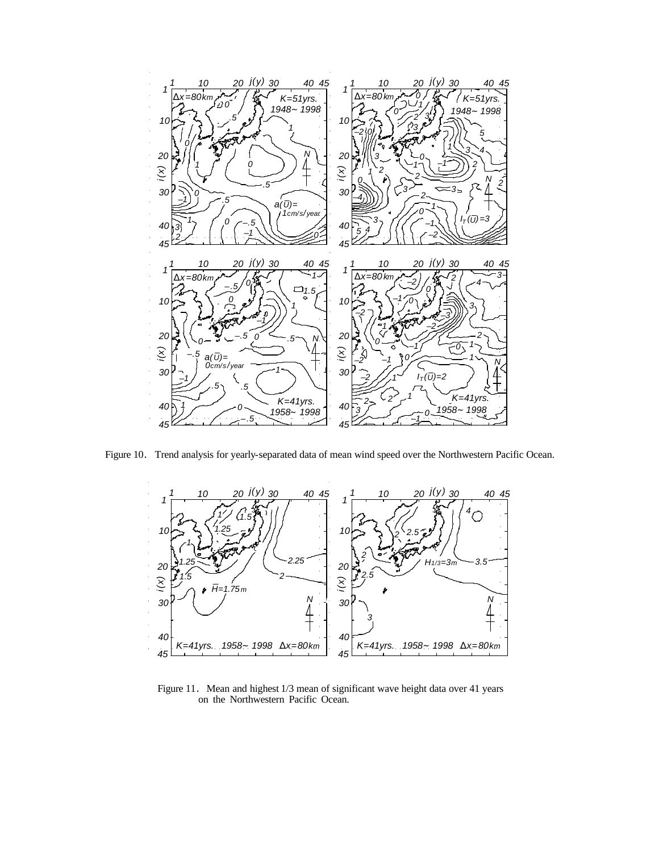

Figure 10. Trend analysis for yearly-separated data of mean wind speed over the Northwestern Pacific Ocean.



Figure 11. Mean and highest 1/3 mean of significant wave height data over 41 years on the Northwestern Pacific Ocean.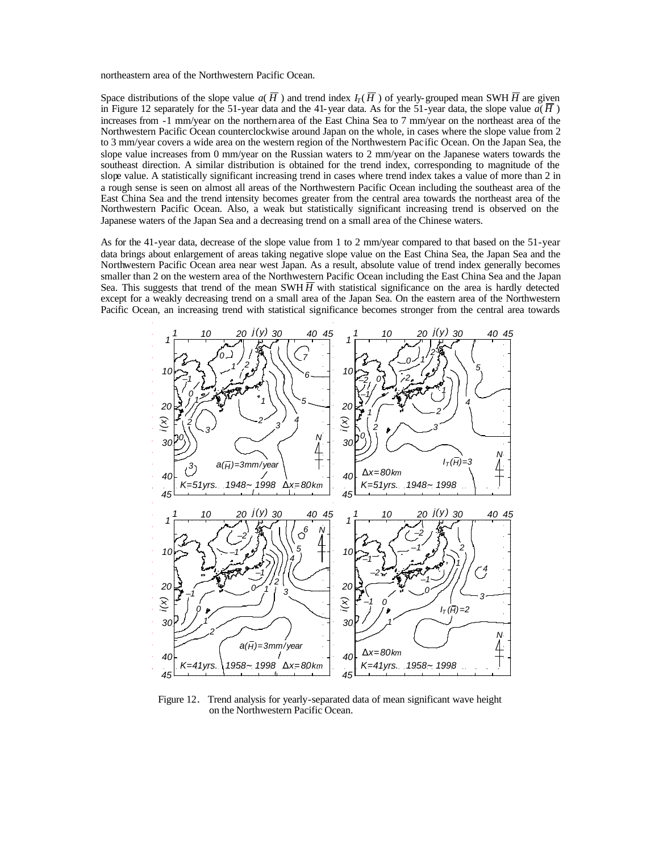northeastern area of the Northwestern Pacific Ocean.

Space distributions of the slope value  $a(H)$  and trend index  $I_T(H)$  of yearly-grouped mean SWH  $\overline{H}$  are given in Figure 12 separately for the 51-year data and the 41-year data. As for the 51-year data, the slope value  $a(\overline{H})$ increases from -1 mm/year on the northern area of the East China Sea to 7 mm/year on the northeast area of the Northwestern Pacific Ocean counterclockwise around Japan on the whole, in cases where the slope value from 2 to 3 mm/year covers a wide area on the western region of the Northwestern Pac ific Ocean. On the Japan Sea, the slope value increases from 0 mm/year on the Russian waters to 2 mm/year on the Japanese waters towards the southeast direction. A similar distribution is obtained for the trend index, corresponding to magnitude of the slope value. A statistically significant increasing trend in cases where trend index takes a value of more than 2 in a rough sense is seen on almost all areas of the Northwestern Pacific Ocean including the southeast area of the East China Sea and the trend intensity becomes greater from the central area towards the northeast area of the Northwestern Pacific Ocean. Also, a weak but statistically significant increasing trend is observed on the Japanese waters of the Japan Sea and a decreasing trend on a small area of the Chinese waters.

As for the 41-year data, decrease of the slope value from 1 to 2 mm/year compared to that based on the 51-year data brings about enlargement of areas taking negative slope value on the East China Sea, the Japan Sea and the Northwestern Pacific Ocean area near west Japan. As a result, absolute value of trend index generally becomes smaller than 2 on the western area of the Northwestern Pacific Ocean including the East China Sea and the Japan Sea. This suggests that trend of the mean SWH  $\overline{H}$  with statistical significance on the area is hardly detected except for a weakly decreasing trend on a small area of the Japan Sea. On the eastern area of the Northwestern Pacific Ocean, an increasing trend with statistical significance becomes stronger from the central area towards



Figure 12. Trend analysis for yearly-separated data of mean significant wave height on the Northwestern Pacific Ocean.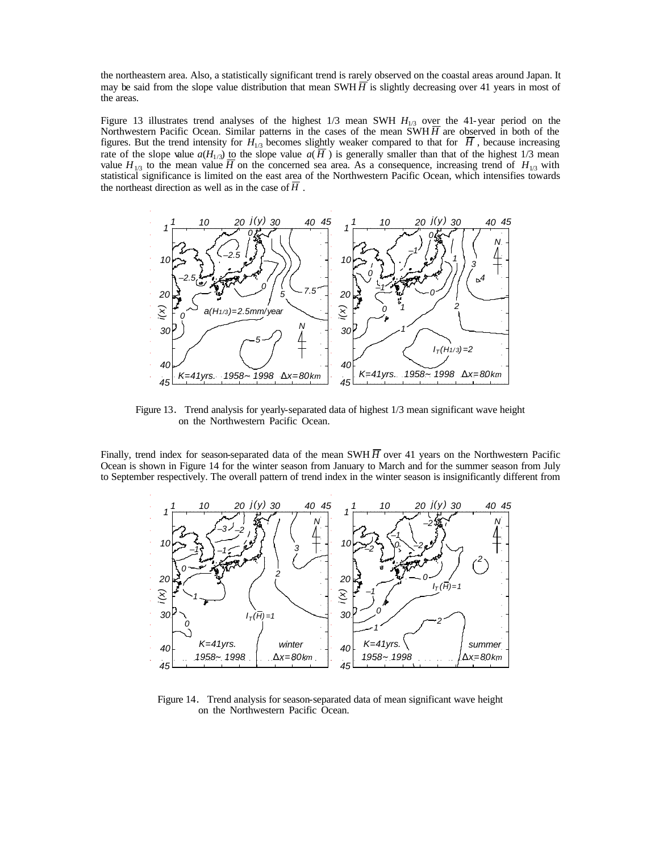the northeastern area. Also, a statistically significant trend is rarely observed on the coastal areas around Japan. It may be said from the slope value distribution that mean SWH  $\overline{H}$  is slightly decreasing over 41 years in most of the areas.

Figure 13 illustrates trend analyses of the highest  $1/3$  mean SWH  $H_{1/3}$  over the 41-year period on the Northwestern Pacific Ocean. Similar patterns in the cases of the mean  $\overline{SWH} \overline{H}$  are observed in both of the figures. But the trend intensity for  $H_{1/3}$  becomes slightly weaker compared to that for  $\overline{H}$ , because increasing rate of the slope value  $a(H_{1/3})$  to the slope value  $a(\overline{H})$  is generally smaller than that of the highest 1/3 mean value  $H_{1/3}$  to the mean value  $\overline{H}$  on the concerned sea area. As a consequence, increasing trend of  $H_{1/3}$  with statistical significance is limited on the east area of the Northwestern Pacific Ocean, which intensifies towards the northeast direction as well as in the case of *H* .



Figure 13. Trend analysis for yearly-separated data of highest 1/3 mean significant wave height on the Northwestern Pacific Ocean.

Finally, trend index for season-separated data of the mean SWH  $\overline{H}$  over 41 years on the Northwestern Pacific Ocean is shown in Figure 14 for the winter season from January to March and for the summer season from July to September respectively. The overall pattern of trend index in the winter season is insignificantly different from



Figure 14. Trend analysis for season-separated data of mean significant wave height on the Northwestern Pacific Ocean.